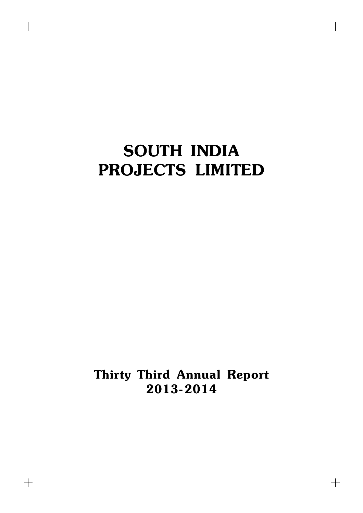$+$ 

 $\begin{array}{c} + \end{array}$ 

 $+$ 

Thirty Third Annual Report 2013-2014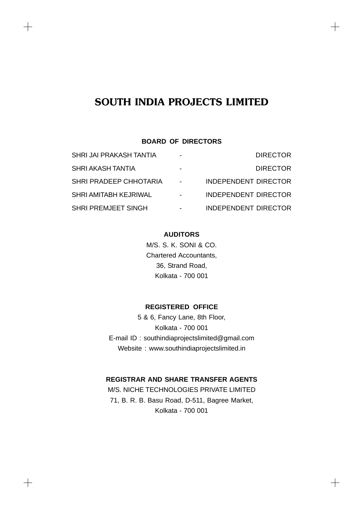$\!+\!$ 

 $+$ 

 $+$ 

 $+$ 

# **BOARD OF DIRECTORS**

| SHRI JAI PRAKASH TANTIA    |        | <b>DIRECTOR</b>             |
|----------------------------|--------|-----------------------------|
| SHRI AKASH TANTIA          |        | <b>DIRECTOR</b>             |
| SHRI PRADEEP CHHOTARIA     | $\sim$ | <b>INDEPENDENT DIRECTOR</b> |
| SHRI AMITABH KEJRIWAL      |        | <b>INDEPENDENT DIRECTOR</b> |
| <b>SHRI PREMJEET SINGH</b> |        | <b>INDEPENDENT DIRECTOR</b> |

# **AUDITORS**

M/S. S. K. SONI & CO. Chartered Accountants, 36, Strand Road, Kolkata - 700 001

# **REGISTERED OFFICE**

5 & 6, Fancy Lane, 8th Floor, Kolkata - 700 001 E-mail ID : southindiaprojectslimited@gmail.com Website : www.southindiaprojectslimited.in

# **REGISTRAR AND SHARE TRANSFER AGENTS**

M/S. NICHE TECHNOLOGIES PRIVATE LIMITED 71, B. R. B. Basu Road, D-511, Bagree Market, Kolkata - 700 001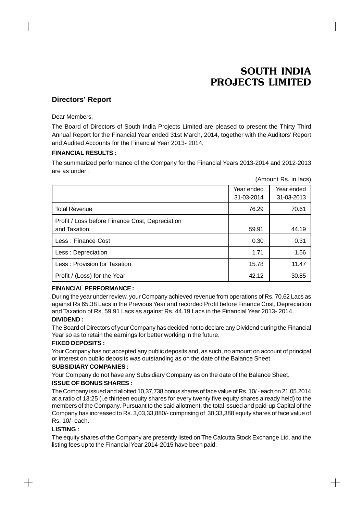$\hspace{.1cm} +$ 

# **Directors' Report**

Dear Members,

The Board of Directors of South India Projects Limited are pleased to present the Thirty Third Annual Report for the Financial Year ended 31st March, 2014, together with the Auditors' Report and Audited Accounts for the Financial Year 2013- 2014.

### **FINANCIAL RESULTS :**

The summarized performance of the Company for the Financial Years 2013-2014 and 2012-2013 are as under :

|                                                                 |                          | (Amount Rs. in lacs)     |
|-----------------------------------------------------------------|--------------------------|--------------------------|
|                                                                 | Year ended<br>31-03-2014 | Year ended<br>31-03-2013 |
| <b>Total Revenue</b>                                            | 76.29                    | 70.61                    |
| Profit / Loss before Finance Cost, Depreciation<br>and Taxation | 59.91                    | 44.19                    |
| Less: Finance Cost                                              | 0.30                     | 0.31                     |
| Less: Depreciation                                              | 1.71                     | 1.56                     |
| Less: Provision for Taxation                                    | 15.78                    | 11.47                    |
| Profit / (Loss) for the Year                                    | 42.12                    | 30.85                    |

# **FINANCIAL PERFORMANCE :**

During the year under review, your Company achieved revenue from operations of Rs. 70.62 Lacs as against Rs 65.38 Lacs in the Previous Year and recorded Profit before Finance Cost, Depreciation and Taxation of Rs. 59.91 Lacs as against Rs. 44.19 Lacs in the Financial Year 2013- 2014.

# **DIVIDEND :**

The Board of Directors of your Company has decided not to declare any Dividend during the Financial Year so as to retain the earnings for better working in the future.

# **FIXED DEPOSITS :**

Your Company has not accepted any public deposits and, as such, no amount on account of principal or interest on public deposits was outstanding as on the date of the Balance Sheet.

### **SUBSIDIARY COMPANIES :**

Your Company do not have any Subsidiary Company as on the date of the Balance Sheet.

### **ISSUE OF BONUS SHARES :**

The Company issued and allotted 10,37,738 bonus shares of face value of Rs. 10/ - each on 21.05.2014 at a ratio of 13:25 (i.e thirteen equity shares for every twenty five equity shares already held) to the members of the Company. Pursuant to the said allotment, the total issued and paid-up Capital of the Company has increased to Rs. 3,03,33,880/- comprising of 30,33,388 equity shares of face value of Rs. 10/- each.

### **LISTING :**

 $+$ 

The equity shares of the Company are presently listed on The Calcutta Stock Exchange Ltd. and the listing fees up to the Financial Year 2014-2015 have been paid.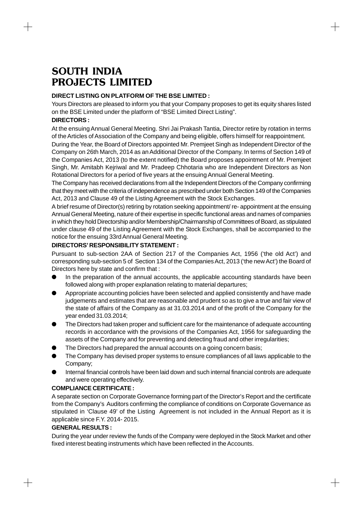# **DIRECT LISTING ON PLATFORM OF THE BSE LIMITED :**

Yours Directors are pleased to inform you that your Company proposes to get its equity shares listed on the BSE Limited under the platform of "BSE Limited Direct Listing".

# **DIRECTORS :**

At the ensuing Annual General Meeting. Shri Jai Prakash Tantia, Director retire by rotation in terms of the Articles of Association of the Company and being eligible, offers himself for reappointment.

During the Year, the Board of Directors appointed Mr. Premjeet Singh as Independent Director of the Company on 26th March, 2014 as an Additional Director of the Company. In terms of Section 149 of the Companies Act, 2013 (to the extent notified) the Board proposes appointment of Mr. Premjeet Singh, Mr. Amitabh Kejriwal and Mr. Pradeep Chhotaria who are Independent Directors as Non Rotational Directors for a period of five years at the ensuing Annual General Meeting.

The Company has received declarations from all the Independent Directors of the Company confirming that they meet with the criteria of independence as prescribed under both Section 149 of the Companies Act, 2013 and Clause 49 of the Listing Agreement with the Stock Exchanges.

A brief resume of Director(s) retiring by rotation seeking appointment/ re- appointment at the ensuing Annual General Meeting, nature of their expertise in specific functional areas and names of companies in which they hold Directorship and/or Membership/Chairmanship of Committees of Board, as stipulated under clause 49 of the Listing Agreement with the Stock Exchanges, shall be accompanied to the notice for the ensuing 33rd Annual General Meeting.

# **DIRECTORS' RESPONSIBILITY STATEMENT :**

Pursuant to sub-section 2AA of Section 217 of the Companies Act, 1956 ('the old Act') and corresponding sub-section 5 of Section 134 of the Companies Act, 2013 ('the new Act') the Board of Directors here by state and confirm that :

- In the preparation of the annual accounts, the applicable accounting standards have been followed along with proper explanation relating to material departures;
- Appropriate accounting policies have been selected and applied consistently and have made judgements and estimates that are reasonable and prudent so as to give a true and fair view of the state of affairs of the Company as at 31.03.2014 and of the profit of the Company for the year ended 31.03.2014;
- The Directors had taken proper and sufficient care for the maintenance of adequate accounting records in accordance with the provisions of the Companies Act, 1956 for safeguarding the assets of the Company and for preventing and detecting fraud and other irregularities;
- The Directors had prepared the annual accounts on a going concern basis;
- The Company has devised proper systems to ensure compliances of all laws applicable to the Company;
- Internal financial controls have been laid down and such internal financial controls are adequate and were operating effectively.

# **COMPLIANCE CERTIFICATE :**

A separate section on Corporate Governance forming part of the Director's Report and the certificate from the Company's Auditors confirming the compliance of conditions on Corporate Governance as stipulated in 'Clause 49' of the Listing Agreement is not included in the Annual Report as it is applicable since F.Y. 2014- 2015.

# **GENERAL RESULTS :**

 $+$ 

During the year under review the funds of the Company were deployed in the Stock Market and other fixed interest beating instruments which have been reflected in the Accounts.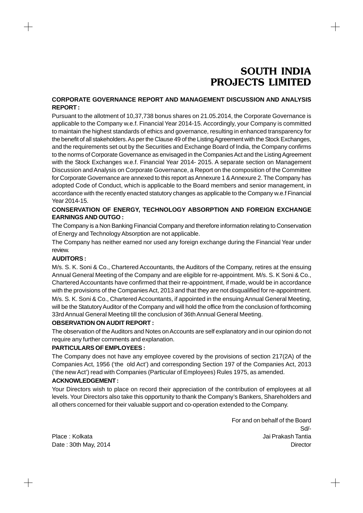# **CORPORATE GOVERNANCE REPORT AND MANAGEMENT DISCUSSION AND ANALYSIS REPORT :**

Pursuant to the allotment of 10,37,738 bonus shares on 21.05.2014, the Corporate Governance is applicable to the Company w.e.f. Financial Year 2014-15. Accordingly, your Company is committed to maintain the highest standards of ethics and governance, resulting in enhanced transparency for the benefit of all stakeholders. As per the Clause 49 of the Listing Agreement with the Stock Exchanges, and the requirements set out by the Securities and Exchange Board of India, the Company confirms to the norms of Corporate Governance as envisaged in the Companies Act and the Listing Agreement with the Stock Exchanges w.e.f. Financial Year 2014- 2015. A separate section on Management Discussion and Analysis on Corporate Governance, a Report on the composition of the Committee for Corporate Governance are annexed to this report as Annexure 1 & Annexure 2. The Company has adopted Code of Conduct, which is applicable to the Board members and senior management, in accordance with the recently enacted statutory changes as applicable to the Company w.e.f Financial Year 2014-15.

# **CONSERVATION OF ENERGY, TECHNOLOGY ABSORPTION AND FOREIGN EXCHANGE EARNINGS AND OUTGO :**

The Company is a Non Banking Financial Company and therefore information relating to Conservation of Energy and Technology Absorption are not applicable.

The Company has neither earned nor used any foreign exchange during the Financial Year under review.

# **AUDITORS :**

M/s. S. K. Soni & Co., Chartered Accountants, the Auditors of the Company, retires at the ensuing Annual General Meeting of the Company and are eligible for re-appointment. M/s. S. K Soni & Co., Chartered Accountants have confirmed that their re-appointment, if made, would be in accordance with the provisions of the Companies Act, 2013 and that they are not disqualified for re-appointment. M/s. S. K. Soni & Co., Chartered Accountants, if appointed in the ensuing Annual General Meeting, will be the Statutory Auditor of the Company and will hold the office from the conclusion of forthcoming 33rd Annual General Meeting till the conclusion of 36th Annual General Meeting.

# **OBSERVATION ON AUDIT REPORT :**

The observation of the Auditors and Notes on Accounts are self explanatory and in our opinion do not require any further comments and explanation.

### **PARTICULARS OF EMPLOYEES :**

The Company does not have any employee covered by the provisions of section 217(2A) of the Companies Act, 1956 ('the old Act') and corresponding Section 197 of the Companies Act, 2013 ('the new Act') read with Companies (Particular of Employees) Rules 1975, as amended.

# **ACKNOWLEDGEMENT :**

Your Directors wish to place on record their appreciation of the contribution of employees at all levels. Your Directors also take this opportunity to thank the Company's Bankers, Shareholders and all others concerned for their valuable support and co-operation extended to the Company.

For and on behalf of the Board Sd/- Place : Kolkata Jai Prakash Tantia Date : 30th May, 2014 **Director Director Director Director Director Director** 

 $\hspace{.1cm} +$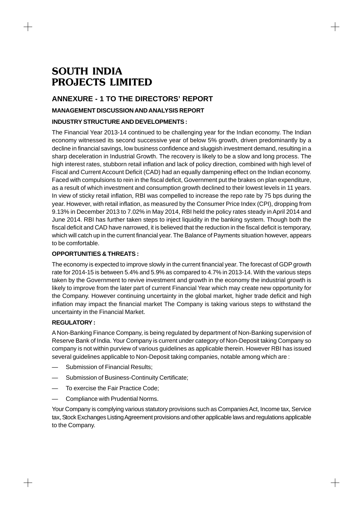# **ANNEXURE - 1 TO THE DIRECTORS' REPORT**

# **MANAGEMENT DISCUSSION AND ANALYSIS REPORT**

# **INDUSTRY STRUCTURE AND DEVELOPMENTS :**

The Financial Year 2013-14 continued to be challenging year for the Indian economy. The Indian economy witnessed its second successive year of below 5% growth, driven predominantly by a decline in financial savings, low business confidence and sluggish investment demand, resulting in a sharp deceleration in Industrial Growth. The recovery is likely to be a slow and long process. The high interest rates, stubborn retail inflation and lack of policy direction, combined with high level of Fiscal and Current Account Deficit (CAD) had an equally dampening effect on the Indian economy. Faced with compulsions to rein in the fiscal deficit, Government put the brakes on plan expenditure, as a result of which investment and consumption growth declined to their lowest levels in 11 years. In view of sticky retail inflation, RBI was compelled to increase the repo rate by 75 bps during the year. However, with retail inflation, as measured by the Consumer Price Index (CPI), dropping from 9.13% in December 2013 to 7.02% in May 2014, RBI held the policy rates steady in April 2014 and June 2014. RBI has further taken steps to inject liquidity in the banking system. Though both the fiscal deficit and CAD have narrowed, it is believed that the reduction in the fiscal deficit is temporary, which will catch up in the current financial year. The Balance of Payments situation however, appears to be comfortable.

# **OPPORTUNITIES & THREATS :**

The economy is expected to improve slowly in the current financial year. The forecast of GDP growth rate for 2014-15 is between 5.4% and 5.9% as compared to 4.7% in 2013-14. With the various steps taken by the Government to revive investment and growth in the economy the industrial growth is likely to improve from the later part of current Financial Year which may create new opportunity for the Company. However continuing uncertainty in the global market, higher trade deficit and high inflation may impact the financial market The Company is taking various steps to withstand the uncertainty in the Financial Market.

# **REGULATORY :**

 $+$ 

A Non-Banking Finance Company, is being regulated by department of Non-Banking supervision of Reserve Bank of India. Your Company is current under category of Non-Deposit taking Company so company is not within purview of various guidelines as applicable therein. However RBI has issued several guidelines applicable to Non-Deposit taking companies, notable among which are :

- Submission of Financial Results;
- Submission of Business-Continuity Certificate;
- To exercise the Fair Practice Code;
- Compliance with Prudential Norms.

Your Company is complying various statutory provisions such as Companies Act, Income tax, Service tax, Stock Exchanges Listing Agreement provisions and other applicable laws and regulations applicable to the Company.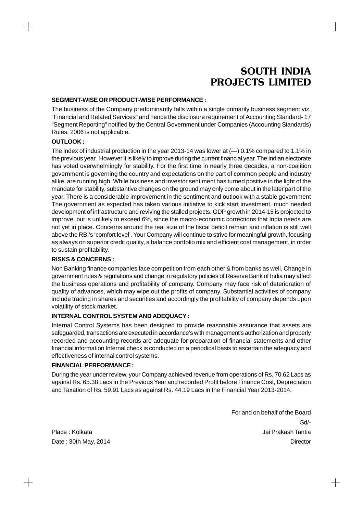### **SEGMENT-WISE OR PRODUCT-WISE PERFORMANCE :**

The business of the Company predominantly falls within a single primarily business segment viz. "Financial and Related Services" and hence the disclosure requirement of Accounting Standard- 17 "Segment Reporting" notified by the Central Government under Companies (Accounting Standards) Rules, 2006 is not applicable.

### **OUTLOOK :**

The index of industrial production in the year 2013-14 was lower at (—) 0.1% compared to 1.1% in the previous year. However it is likely to improve during the current financial year. The Indian electorate has voted overwhelmingly for stability. For the first time in nearly three decades, a non-coalition government is governing the country and expectations on the part of common people and industry alike, are running high. While business and investor sentiment has turned positive in the light of the mandate for stability, substantive changes on the ground may only come about in the later part of the year. There is a considerable improvement in the sentiment and outlook with a stable government The government as expected has taken various initiative to kick start investment, much needed development of infrastructure and reviving the stalled projects. GDP growth in 2014-15 is projected to improve, but is unlikely to exceed 6%, since the macro-economic corrections that India needs are not yet in place. Concerns around the real size of the fiscal deficit remain and inflation is still well above the RBI's 'comfort level'. Your Company will continue to strive for meaningful growth, focusing as always on superior credit quality, a balance portfolio mix and efficient cost management, in order to sustain profitability.

### **RISKS & CONCERNS :**

Non Banking finance companies face competition from each other & from banks as well. Change in government rules & regulations and change in regulatory policies of Reserve Bank of India may affect the business operations and profitability of company. Company may face risk of deterioration of quality of advances, which may wipe out the profits of company. Substantial activities of company include trading in shares and securities and accordingly the profitability of company depends upon volatility of stock market.

### **INTERNAL CONTROL SYSTEM AND ADEQUACY :**

Internal Control Systems has been designed to provide reasonable assurance that assets are safeguarded, transactions are executed in accordance's with management's authorization and properly recorded and accounting records are adequate for preparation of financial statements and other financial information Internal check is conducted on a periodical basis to ascertain the adequacy and effectiveness of internal control systems.

### **FINANCIAL PERFORMANCE :**

During the year under review, your Company achieved revenue from operations of Rs. 70.62 Lacs as against Rs. 65.38 Lacs in the Previous Year and recorded Profit before Finance Cost, Depreciation and Taxation of Rs. 59.91 Lacs as against Rs. 44.19 Lacs in the Financial Year 2013-2014.

For and on behalf of the Board Sd/- Place : Kolkata Jai Prakash Tantia Date : 30th May, 2014 **Director Director Director Director Director Director** 

 $\hspace{0.1mm} +\hspace{0.1mm}$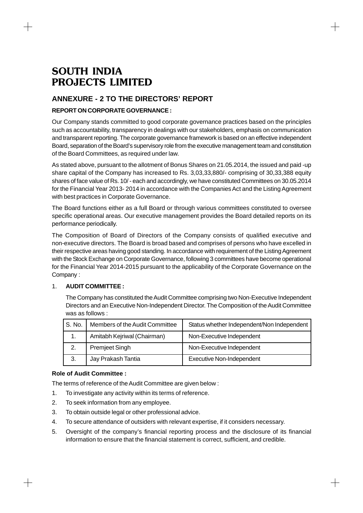# **ANNEXURE - 2 TO THE DIRECTORS' REPORT**

# **REPORT ON CORPORATE GOVERNANCE :**

Our Company stands committed to good corporate governance practices based on the principles such as accountability, transparency in dealings with our stakeholders, emphasis on communication and transparent reporting. The corporate governance framework is based on an effective independent Board, separation of the Board's supervisory role from the executive management team and constitution of the Board Committees, as required under law.

As stated above, pursuant to the allotment of Bonus Shares on 21.05.2014, the issued and paid -up share capital of the Company has increased to Rs. 3,03,33,880/- comprising of 30,33,388 equity shares of face value of Rs. 10/ - each and accordingly, we have constituted Committees on 30.05.2014 for the Financial Year 2013- 2014 in accordance with the Companies Act and the Listing Agreement with best practices in Corporate Governance.

The Board functions either as a full Board or through various committees constituted to oversee specific operational areas. Our executive management provides the Board detailed reports on its performance periodically.

The Composition of Board of Directors of the Company consists of qualified executive and non-executive directors. The Board is broad based and comprises of persons who have excelled in their respective areas having good standing. In accordance with requirement of the Listing Agreement with the Stock Exchange on Corporate Governance, following 3 committees have become operational for the Financial Year 2014-2015 pursuant to the applicability of the Corporate Governance on the Company :

# 1. **AUDIT COMMITTEE :**

The Company has constituted the Audit Committee comprising two Non-Executive Independent Directors and an Executive Non-Independent Director. The Composition of the Audit Committee was as follows :

| S. No.<br>Members of the Audit Committee |                             | Status whether Independent/Non Independent |  |  |
|------------------------------------------|-----------------------------|--------------------------------------------|--|--|
| 1.                                       | Amitabh Kejriwal (Chairman) | Non-Executive Independent                  |  |  |
|                                          | Premjeet Singh              | Non-Executive Independent                  |  |  |
| 3.                                       | Jay Prakash Tantia          | <b>Executive Non-Independent</b>           |  |  |

# **Role of Audit Committee :**

 $\pm$ 

The terms of reference of the Audit Committee are given below :

- 1. To investigate any activity within its terms of reference.
- 2. To seek information from any employee.
- 3. To obtain outside legal or other professional advice.
- 4. To secure attendance of outsiders with relevant expertise, if it considers necessary.
- 5. Oversight of the company's financial reporting process and the disclosure of its financial information to ensure that the financial statement is correct, sufficient, and credible.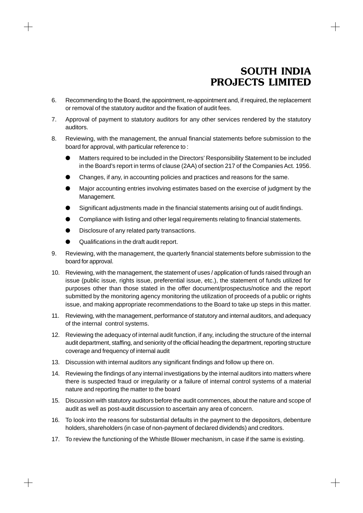$+$ 

- 6. Recommending to the Board, the appointment, re-appointment and, if required, the replacement or removal of the statutory auditor and the fixation of audit fees.
- 7. Approval of payment to statutory auditors for any other services rendered by the statutory auditors.
- 8. Reviewing, with the management, the annual financial statements before submission to the board for approval, with particular reference to :
	- Matters required to be included in the Directors' Responsibility Statement to be included in the Board's report in terms of clause (2AA) of section 217 of the Companies Act. 1956.
	- Changes, if any, in accounting policies and practices and reasons for the same.
	- Major accounting entries involving estimates based on the exercise of judgment by the Management.
	- Significant adjustments made in the financial statements arising out of audit findings.
	- Compliance with listing and other legal requirements relating to financial statements.
	- Disclosure of any related party transactions.
	- Qualifications in the draft audit report.

- 9. Reviewing, with the management, the quarterly financial statements before submission to the board for approval.
- 10. Reviewing, with the management, the statement of uses / application of funds raised through an issue (public issue, rights issue, preferential issue, etc.), the statement of funds utilized for purposes other than those stated in the offer document/prospectus/notice and the report submitted by the monitoring agency monitoring the utilization of proceeds of a public or rights issue, and making appropriate recommendations to the Board to take up steps in this matter.
- 11. Reviewing, with the management, performance of statutory and internal auditors, and adequacy of the internal control systems.
- 12. Reviewing the adequacy of internal audit function, if any, including the structure of the internal audit department, staffing, and seniority of the official heading the department, reporting structure coverage and frequency of internal audit
- 13. Discussion with internal auditors any significant findings and follow up there on.
- 14. Reviewing the findings of any internal investigations by the internal auditors into matters where there is suspected fraud or irregularity or a failure of internal control systems of a material nature and reporting the matter to the board
- 15. Discussion with statutory auditors before the audit commences, about the nature and scope of audit as well as post-audit discussion to ascertain any area of concern.
- 16. To look into the reasons for substantial defaults in the payment to the depositors, debenture holders, shareholders (in case of non-payment of declared dividends) and creditors.
- 17. To review the functioning of the Whistle Blower mechanism, in case if the same is existing.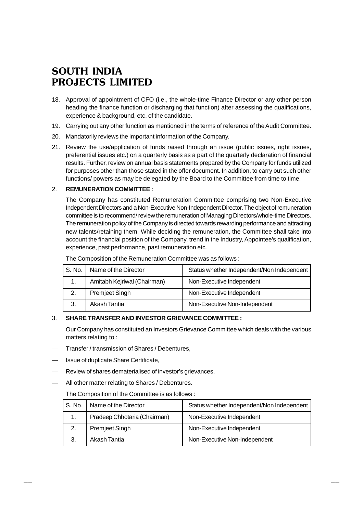- 18. Approval of appointment of CFO (i.e., the whole-time Finance Director or any other person heading the finance function or discharging that function) after assessing the qualifications, experience & background, etc. of the candidate.
- 19. Carrying out any other function as mentioned in the terms of reference of the Audit Committee.
- 20. Mandatorily reviews the important information of the Company.
- 21. Review the use/application of funds raised through an issue (public issues, right issues, preferential issues etc.) on a quarterly basis as a part of the quarterly declaration of financial results. Further, review on annual basis statements prepared by the Company for funds utilized for purposes other than those stated in the offer document. In addition, to carry out such other functions/ powers as may be delegated by the Board to the Committee from time to time.

### 2. **REMUNERATION COMMITTEE :**

The Company has constituted Remuneration Committee comprising two Non-Executive Independent Directors and a Non-Executive Non-Independent Director. The object of remuneration committee is to recommend/ review the remuneration of Managing Directors/whole-time Directors. The remuneration policy of the Company is directed towards rewarding performance and attracting new talents/retaining them. While deciding the remuneration, the Committee shall take into account the financial position of the Company, trend in the Industry, Appointee's qualification, experience, past performance, past remuneration etc.

| S. No.                      | Name of the Director  | Status whether Independent/Non Independent |  |  |
|-----------------------------|-----------------------|--------------------------------------------|--|--|
| Amitabh Kejriwal (Chairman) |                       | Non-Executive Independent                  |  |  |
| 2.                          | <b>Premjeet Singh</b> | Non-Executive Independent                  |  |  |
| 3.                          | Akash Tantia          | Non-Executive Non-Independent              |  |  |

# 3. **SHARE TRANSFER AND INVESTOR GRIEVANCE COMMITTEE :**

Our Company has constituted an Investors Grievance Committee which deals with the various matters relating to :

- Transfer / transmission of Shares / Debentures,
- Issue of duplicate Share Certificate,
- Review of shares dematerialised of investor's grievances,
- All other matter relating to Shares / Debentures.

### The Composition of the Committee is as follows :

| S. No. | Name of the Director         | Status whether Independent/Non Independent |
|--------|------------------------------|--------------------------------------------|
|        | Pradeep Chhotaria (Chairman) | Non-Executive Independent                  |
| 2.     | Premjeet Singh               | Non-Executive Independent                  |
| 3.     | Akash Tantia                 | Non-Executive Non-Independent              |

 $\hspace{0.1mm} +$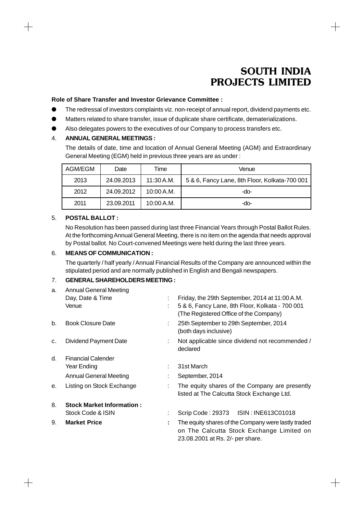$+$ 

### **Role of Share Transfer and Investor Grievance Committee :**

- The redressal of investors complaints viz. non-receipt of annual report, dividend payments etc.
- O Matters related to share transfer, issue of duplicate share certificate, dematerializations.
- Also delegates powers to the executives of our Company to process transfers etc.

# 4. **ANNUAL GENERAL MEETINGS :**

The details of date, time and location of Annual General Meeting (AGM) and Extraordinary General Meeting (EGM) held in previous three years are as under :

| AGM/EGM | Date       | Time       | Venue                                         |
|---------|------------|------------|-----------------------------------------------|
| 2013    | 24.09.2013 | 11:30 A.M. | 5 & 6, Fancy Lane, 8th Floor, Kolkata-700 001 |
| 2012    | 24.09.2012 | 10:00 A.M. | -do-                                          |
| 2011    | 23.09.2011 | 10:00 A.M. | -do-                                          |

### 5. **POSTAL BALLOT :**

 $+$ 

No Resolution has been passed during last three Financial Years through Postal Ballot Rules. At the forthcoming Annual General Meeting, there is no item on the agenda that needs approval by Postal ballot. No Court-convened Meetings were held during the last three years.

### 6. **MEANS OF COMMUNICATION :**

The quarterly / half yearly / Annual Financial Results of the Company are announced within the stipulated period and are normally published in English and Bengali newspapers.

# 7. **GENERAL SHAREHOLDERS MEETING :**

| a. | <b>Annual General Meeting</b>    |    |                                                                                                                                      |
|----|----------------------------------|----|--------------------------------------------------------------------------------------------------------------------------------------|
|    | Day, Date & Time                 | ÷. | Friday, the 29th September, 2014 at 11:00 A.M.                                                                                       |
|    | Venue                            |    | 5 & 6, Fancy Lane, 8th Floor, Kolkata - 700 001<br>(The Registered Office of the Company)                                            |
| b. | <b>Book Closure Date</b>         |    | 25th September to 29th September, 2014<br>(both days inclusive)                                                                      |
| c. | <b>Dividend Payment Date</b>     |    | Not applicable since dividend not recommended /<br>declared                                                                          |
| d. | <b>Financial Calender</b>        |    |                                                                                                                                      |
|    | Year Ending                      | ÷  | 31st March                                                                                                                           |
|    | <b>Annual General Meeting</b>    |    | September, 2014                                                                                                                      |
| е. | Listing on Stock Exchange        | ÷  | The equity shares of the Company are presently<br>listed at The Calcutta Stock Exchange Ltd.                                         |
| 8. | <b>Stock Market Information:</b> |    |                                                                                                                                      |
|    | Stock Code & ISIN                | ÷  | Scrip Code: 29373 ISIN: INE613C01018                                                                                                 |
| 9. | <b>Market Price</b>              | ÷  | The equity shares of the Company were lastly traded<br>on The Calcutta Stock Exchange Limited on<br>23.08.2001 at Rs. 2/- per share. |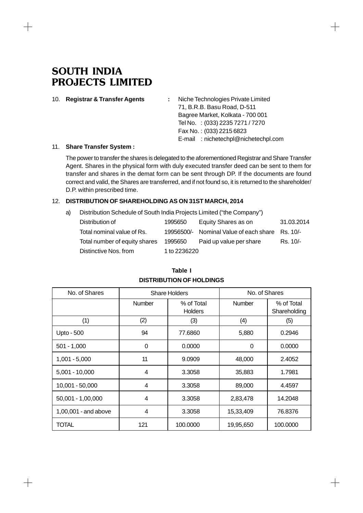$\hspace{0.1mm} +$ 

 $+$ 

| 10. | <b>Registrar &amp; Transfer Agents</b> | Niche Technologies Private Limited  |
|-----|----------------------------------------|-------------------------------------|
|     |                                        | 71, B.R.B. Basu Road, D-511         |
|     |                                        | Bagree Market, Kolkata - 700 001    |
|     |                                        | Tel No. : (033) 2235 7271 / 7270    |
|     |                                        | Fax No.: (033) 2215 6823            |
|     |                                        | E-mail: nichetechpl@nichetechpl.com |
|     |                                        |                                     |

### 11. **Share Transfer System :**

The power to transfer the shares is delegated to the aforementioned Registrar and Share Transfer Agent. Shares in the physical form with duly executed transfer deed can be sent to them for transfer and shares in the demat form can be sent through DP. If the documents are found correct and valid, the Shares are transferred, and if not found so, it is returned to the shareholder/ D.P. within prescribed time.

┼

 $+$ 

# 12. **DISTRIBUTION OF SHAREHOLDING AS ON 31ST MARCH, 2014**

| a) - | Distribution Schedule of South India Projects Limited ("the Company") |         |                     |            |
|------|-----------------------------------------------------------------------|---------|---------------------|------------|
|      | Distribution of                                                       | 1995650 | Equity Shares as on | 31.03.2014 |
|      |                                                                       |         |                     |            |

| Total nominal value of Rs.    |              | 19956500/- Nominal Value of each share Rs. 10/- |          |  |
|-------------------------------|--------------|-------------------------------------------------|----------|--|
| Total number of equity shares | 1995650      | Paid up value per share                         | Rs. 10/- |  |
| Distinctive Nos. from         | 1 to 2236220 |                                                 |          |  |

| No. of Shares        | <b>Share Holders</b> |                              | No. of Shares |                            |  |
|----------------------|----------------------|------------------------------|---------------|----------------------------|--|
|                      | <b>Number</b>        | % of Total<br><b>Holders</b> |               | % of Total<br>Shareholding |  |
| (1)                  | (2)                  | (3)                          | (4)           | (5)                        |  |
| Upto - 500           | 94                   | 77.6860                      | 5,880         | 0.2946                     |  |
| $501 - 1,000$        | 0                    | 0.0000                       | 0             | 0.0000                     |  |
| $1,001 - 5,000$      | 11                   | 9.0909                       | 48,000        | 2.4052                     |  |
| $5,001 - 10,000$     | 4                    | 3.3058                       | 35,883        | 1.7981                     |  |
| 10,001 - 50,000      | 4                    | 3.3058                       | 89,000        | 4.4597                     |  |
| $50,001 - 1,00,000$  | 4                    | 3.3058                       | 2,83,478      | 14.2048                    |  |
| 1,00,001 - and above | 4                    | 3.3058                       | 15,33,409     | 76.8376                    |  |
| TOTAL                | 121                  | 100.0000                     | 19,95,650     | 100,0000                   |  |

# **Table I DISTRIBUTION OF HOLDINGS**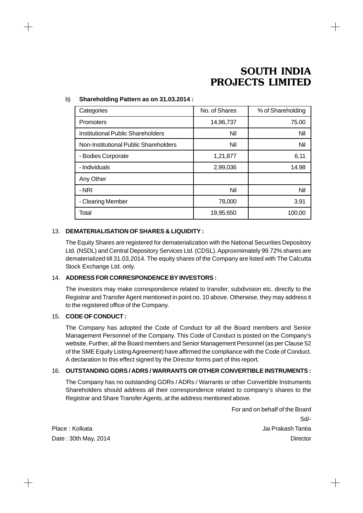# b) **Shareholding Pattern as on 31.03.2014 :**

| Categories                            | No. of Shares | % of Shareholding |
|---------------------------------------|---------------|-------------------|
| Promoters                             | 14,96,737     | 75.00             |
| Institutional Public Shareholders     | Nil           | Nil               |
| Non-Institutional Public Shareholders | Nil           | Nil               |
| - Bodies Corporate                    | 1,21,877      | 6.11              |
| - Individuals                         | 2,99,036      | 14.98             |
| Any Other                             |               |                   |
| - NRI                                 | Nil           | Nil               |
| - Clearing Member                     | 78,000        | 3.91              |
| Total                                 | 19,95,650     | 100.00            |

# 13. **DEMATERIALISATION OF SHARES & LIQUIDITY :**

The Equity Shares are registered for dematerialization with the National Securities Depository Ltd. (NSDL) and Central Depository Services Ltd. (CDSL). Approxmimately 99.72% shares are dematerialized till 31.03.2014. The equity shares of the Company are listed with The Calcutta Stock Exchange Ltd. only.

# 14. **ADDRESS FOR CORRESPONDENCE BY INVESTORS :**

The investors may make correspondence related to transfer, subdivision etc. directly to the Registrar and Transfer Agent mentioned in point no. 10 above. Otherwise, they may address it to the registered office of the Company.

# 15. **CODE OF CONDUCT :**

The Company has adopted the Code of Conduct for all the Board members and Senior Management Personnel of the Company. This Code of Conduct is posted on the Company's website. Further, all the Board members and Senior Management Personnel (as per Clause 52 of the SME Equity Listing Agreement) have affirmed the compliance with the Code of Conduct. A declaration to this effect signed by the Director forms part of this report.

# 16. **OUTSTANDING GDRS / ADRS / WARRANTS OR OTHER CONVERTIBLE INSTRUMENTS :**

The Company has no outstanding GDRs / ADRs / Warrants or other Convertible Instruments Shareholders should address all their correspondence related to company's shares to the Registrar and Share Transfer Agents, at the address mentioned above.

For and on behalf of the Board Sd/- Place : Kolkata Jai Prakash Tantia Date : 30th May, 2014 **Director Director Director Director Director Director** 

 $\hspace{0.1mm} +\hspace{0.1mm}$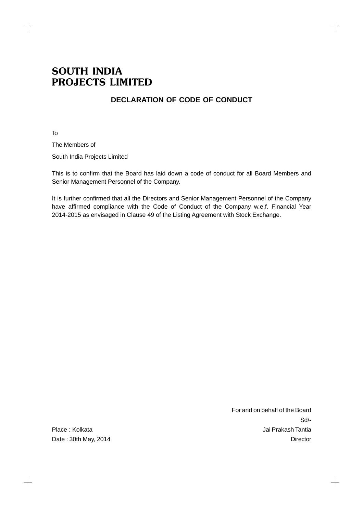# **DECLARATION OF CODE OF CONDUCT**

To

 $\hspace{.1cm} +$ 

The Members of

South India Projects Limited

This is to confirm that the Board has laid down a code of conduct for all Board Members and Senior Management Personnel of the Company.

It is further confirmed that all the Directors and Senior Management Personnel of the Company have affirmed compliance with the Code of Conduct of the Company w.e.f. Financial Year 2014-2015 as envisaged in Clause 49 of the Listing Agreement with Stock Exchange.

 $+$ 

For and on behalf of the Board Sd/- Place : Kolkata Jai Prakash Tantia Date : 30th May, 2014 Director

 $+$ 

┼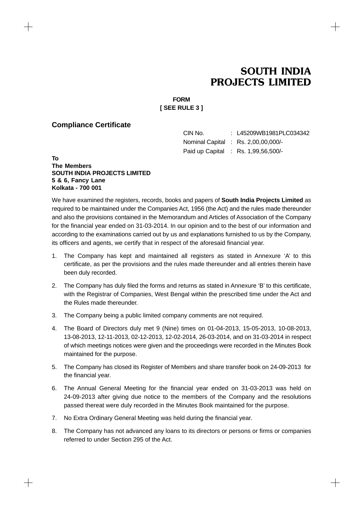$\hspace{.1cm} +$ 

# **FORM [ SEE RULE 3 ]**

# **Compliance Certificate**

CIN No. : L45209WB1981PLC034342 Nominal Capital : Rs. 2,00,00,000/- Paid up Capital : Rs. 1,99,56,500/-

**To The Members SOUTH INDIA PROJECTS LIMITED 5 & 6, Fancy Lane Kolkata - 700 001**

 $\! +$ 

We have examined the registers, records, books and papers of **South India Projects Limited** as required to be maintained under the Companies Act, 1956 (the Act) and the rules made thereunder and also the provisions contained in the Memorandum and Articles of Association of the Company for the financial year ended on 31-03-2014. In our opinion and to the best of our information and according to the examinations carried out by us and explanations furnished to us by the Company, its officers and agents, we certify that in respect of the aforesaid financial year.

- 1. The Company has kept and maintained all registers as stated in Annexure 'A' to this certificate, as per the provisions and the rules made thereunder and all entries therein have been duly recorded.
- 2. The Company has duly filed the forms and returns as stated in Annexure 'B' to this certificate, with the Registrar of Companies, West Bengal within the prescribed time under the Act and the Rules made thereunder.
- 3. The Company being a public limited company comments are not required.
- 4. The Board of Directors duly met 9 (Nine) times on 01-04-2013, 15-05-2013, 10-08-2013, 13-08-2013, 12-11-2013, 02-12-2013, 12-02-2014, 26-03-2014, and on 31-03-2014 in respect of which meetings notices were given and the proceedings were recorded in the Minutes Book maintained for the purpose.
- 5. The Company has closed its Register of Members and share transfer book on 24-09-2013 for the financial year.
- 6. The Annual General Meeting for the financial year ended on 31-03-2013 was held on 24-09-2013 after giving due notice to the members of the Company and the resolutions passed thereat were duly recorded in the Minutes Book maintained for the purpose.
- 7. No Extra Ordinary General Meeting was held during the financial year.
- 8. The Company has not advanced any loans to its directors or persons or firms or companies referred to under Section 295 of the Act.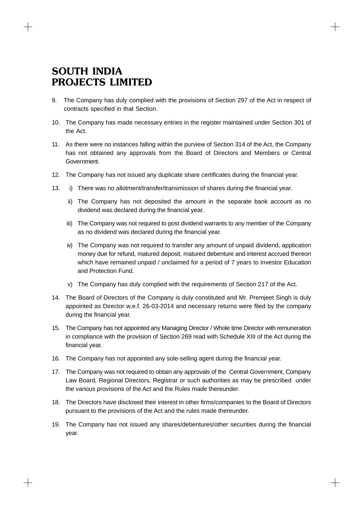- 9. The Company has duly complied with the provisions of Section 297 of the Act in respect of contracts specified in that Section.
- 10. The Company has made necessary entries in the register maintained under Section 301 of the Act.
- 11. As there were no instances falling within the purview of Section 314 of the Act, the Company has not obtained any approvals from the Board of Directors and Members or Central Government.
- 12. The Company has not issued any duplicate share certificates during the financial year.
- 13. i) There was no allotment/transfer/transmission of shares during the financial year.
	- ii) The Company has not deposited the amount in the separate bank account as no dividend was declared during the financial year.
	- iii) The Company was not required to post dividend warrants to any member of the Company as no dividend was declared during the financial year.
	- iv) The Company was not required to transfer any amount of unpaid dividend, application money due for refund, matured deposit, matured debenture and interest accrued thereon which have remained unpaid / unclaimed for a period of 7 years to Investor Education and Protection Fund.
	- v) The Company has duly complied with the requirements of Section 217 of the Act.
- 14. The Board of Directors of the Company is duly constituted and Mr. Premjeet Singh is duly appointed as Director w.e.f. 26-03-2014 and necessary returns were filed by the company during the financial year.
- 15. The Company has not appointed any Managing Director / Whole time Director with remuneration in compliance with the provision of Section 269 read with Schedule XIII of the Act during the financial year.
- 16. The Company has not appointed any sole-selling agent during the financial year.
- 17. The Company was not required to obtain any approvals of the Central Government, Company Law Board, Regional Directors, Registrar or such authorities as may be prescribed under the various provisions of the Act and the Rules made thereunder.
- 18. The Directors have disclosed their interest in other firms/companies to the Board of Directors pursuant to the provisions of the Act and the rules made thereunder.
- 19. The Company has not issued any shares/debentures/other securities during the financial year.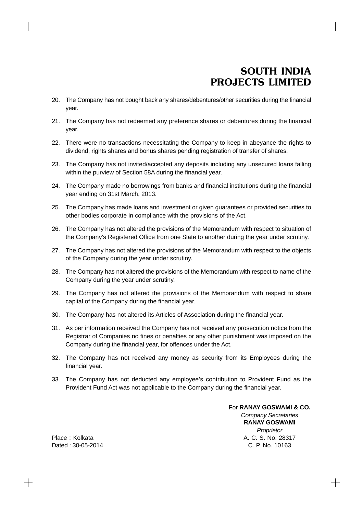- 20. The Company has not bought back any shares/debentures/other securities during the financial year.
- 21. The Company has not redeemed any preference shares or debentures during the financial year.
- 22. There were no transactions necessitating the Company to keep in abeyance the rights to dividend, rights shares and bonus shares pending registration of transfer of shares.
- 23. The Company has not invited/accepted any deposits including any unsecured loans falling within the purview of Section 58A during the financial year.
- 24. The Company made no borrowings from banks and financial institutions during the financial year ending on 31st March, 2013.
- 25. The Company has made loans and investment or given guarantees or provided securities to other bodies corporate in compliance with the provisions of the Act.
- 26. The Company has not altered the provisions of the Memorandum with respect to situation of the Company's Registered Office from one State to another during the year under scrutiny.
- 27. The Company has not altered the provisions of the Memorandum with respect to the objects of the Company during the year under scrutiny.
- 28. The Company has not altered the provisions of the Memorandum with respect to name of the Company during the year under scrutiny.
- 29. The Company has not altered the provisions of the Memorandum with respect to share capital of the Company during the financial year.
- 30. The Company has not altered its Articles of Association during the financial year.
- 31. As per information received the Company has not received any prosecution notice from the Registrar of Companies no fines or penalties or any other punishment was imposed on the Company during the financial year, for offences under the Act.
- 32. The Company has not received any money as security from its Employees during the financial year.
- 33. The Company has not deducted any employee's contribution to Provident Fund as the Provident Fund Act was not applicable to the Company during the financial year.

For **RANAY GOSWAMI & CO.** *Company Secretaries* **RANAY GOSWAMI** *Proprietor* Place : Kolkata A. C. S. No. 28317 Dated : 30-05-2014 C. P. No. 10163

 $+$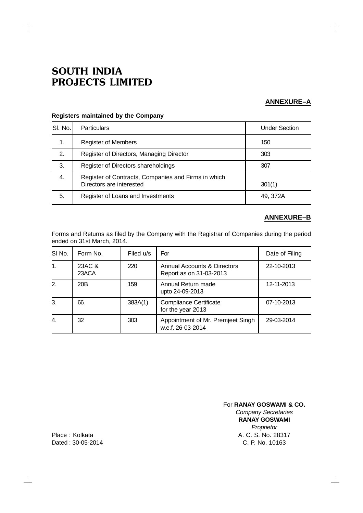$+$ 

# **ANNEXURE–A**

 $\!+\!$ 

| SI. No. | <b>Particulars</b>                                                              | <b>Under Section</b> |
|---------|---------------------------------------------------------------------------------|----------------------|
| 1.      | <b>Register of Members</b>                                                      | 150                  |
| 2.      | Register of Directors, Managing Director                                        | 303                  |
| 3.      | Register of Directors shareholdings                                             | 307                  |
| 4.      | Register of Contracts, Companies and Firms in which<br>Directors are interested | 301(1)               |
| 5.      | Register of Loans and Investments                                               | 49, 372A             |

# **Registers maintained by the Company**

# **ANNEXURE–B**

Forms and Returns as filed by the Company with the Registrar of Companies during the period ended on 31st March, 2014.

| SI No.         | Form No.        | Filed u/s | For                                                               | Date of Filing |
|----------------|-----------------|-----------|-------------------------------------------------------------------|----------------|
| 1.             | 23AC &<br>23ACA | 220       | <b>Annual Accounts &amp; Directors</b><br>Report as on 31-03-2013 | 22-10-2013     |
| 2.             | 20B             | 159       | Annual Return made<br>upto 24-09-2013                             | 12-11-2013     |
| 3.             | 66              | 383A(1)   | <b>Compliance Certificate</b><br>for the year 2013                | 07-10-2013     |
| $\mathbf{4}$ . | 32              | 303       | Appointment of Mr. Premjeet Singh<br>w.e.f. 26-03-2014            | 29-03-2014     |

For **RANAY GOSWAMI & CO.** *Company Secretaries* **RANAY GOSWAMI** *Proprietor* Place : Kolkata A. C. S. No. 28317

 $+$ 

Dated : 30-05-2014 C. P. No. 10163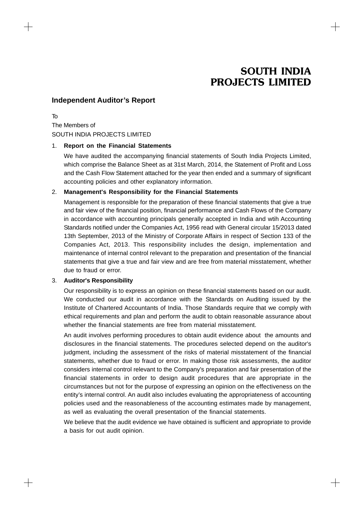$+$ 

# **Independent Auditor's Report**

To The Members of SOUTH INDIA PROJECTS LIMITED

### 1. **Report on the Financial Statements**

We have audited the accompanying financial statements of South India Projects Limited, which comprise the Balance Sheet as at 31st March, 2014, the Statement of Profit and Loss and the Cash Flow Statement attached for the year then ended and a summary of significant accounting policies and other explanatory information.

### 2. **Management's Responsibility for the Financial Statements**

Management is responsible for the preparation of these financial statements that give a true and fair view of the financial position, financial performance and Cash Flows of the Company in accordance with accounting principals generally accepted in India and wtih Accounting Standards notified under the Companies Act, 1956 read with General circular 15/2013 dated 13th September, 2013 of the Ministry of Corporate Affairs in respect of Section 133 of the Companies Act, 2013. This responsibility includes the design, implementation and maintenance of internal control relevant to the preparation and presentation of the financial statements that give a true and fair view and are free from material misstatement, whether due to fraud or error.

# 3. **Auditor's Responsibility**

 $+$ 

Our responsibility is to express an opinion on these financial statements based on our audit. We conducted our audit in accordance with the Standards on Auditing issued by the Institute of Chartered Accountants of India. Those Standards require that we comply with ethical requirements and plan and perform the audit to obtain reasonable assurance about whether the financial statements are free from material misstatement.

An audit involves performing procedures to obtain audit evidence about the amounts and disclosures in the financial statements. The procedures selected depend on the auditor's judgment, including the assessment of the risks of material misstatement of the financial statements, whether due to fraud or error. In making those risk assessments, the auditor considers internal control relevant to the Company's preparation and fair presentation of the financial statements in order to design audit procedures that are appropriate in the circumstances but not for the purpose of expressing an opinion on the effectiveness on the entity's internal control. An audit also includes evaluating the appropriateness of accounting policies used and the reasonableness of the accounting estimates made by management, as well as evaluating the overall presentation of the financial statements.

We believe that the audit evidence we have obtained is sufficient and appropriate to provide a basis for out audit opinion.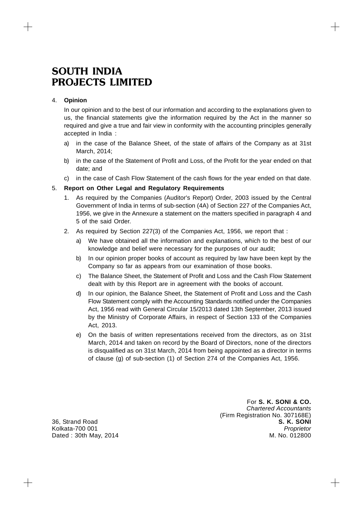# 4. **Opinion**

In our opinion and to the best of our information and according to the explanations given to us, the financial statements give the information required by the Act in the manner so required and give a true and fair view in conformity with the accounting principles generally accepted in India :

- a) in the case of the Balance Sheet, of the state of affairs of the Company as at 31st March, 2014;
- b) in the case of the Statement of Profit and Loss, of the Profit for the year ended on that date; and
- c) in the case of Cash Flow Statement of the cash flows for the year ended on that date.

### 5. **Report on Other Legal and Regulatory Requirements**

- 1. As required by the Companies (Auditor's Report) Order, 2003 issued by the Central Government of India in terms of sub-section (4A) of Section 227 of the Companies Act, 1956, we give in the Annexure a statement on the matters specified in paragraph 4 and 5 of the said Order.
- 2. As required by Section 227(3) of the Companies Act, 1956, we report that :
	- a) We have obtained all the information and explanations, which to the best of our knowledge and belief were necessary for the purposes of our audit;
	- b) In our opinion proper books of account as required by law have been kept by the Company so far as appears from our examination of those books.
	- c) The Balance Sheet, the Statement of Profit and Loss and the Cash Flow Statement dealt with by this Report are in agreement with the books of account.
	- d) In our opinion, the Balance Sheet, the Statement of Profit and Loss and the Cash Flow Statement comply with the Accounting Standards notified under the Companies Act, 1956 read with General Circular 15/2013 dated 13th September, 2013 issued by the Ministry of Corporate Affairs, in respect of Section 133 of the Companies Act, 2013.
	- e) On the basis of written representations received from the directors, as on 31st March, 2014 and taken on record by the Board of Directors, none of the directors is disqualified as on 31st March, 2014 from being appointed as a director in terms of clause (g) of sub-section (1) of Section 274 of the Companies Act, 1956.

For **S. K. SONI & CO.** *Chartered Accountants* (Firm Registration No. 307168E) 36, Strand Road **S. K. SONI** Kolkata-700 001 *Proprietor* Dated : 30th May, 2014 M. No. 012800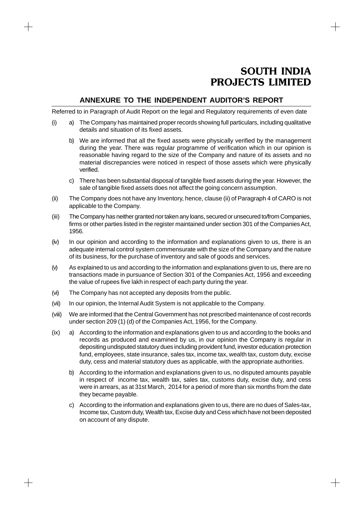╅

# **ANNEXURE TO THE INDEPENDENT AUDITOR'S REPORT**

Referred to in Paragraph of Audit Report on the legal and Regulatory requirements of even date

- (i) a) The Company has maintained proper records showing full particulars, including qualitative details and situation of its fixed assets.
	- b) We are informed that all the fixed assets were physically verified by the management during the year. There was regular programme of verification which in our opinion is reasonable having regard to the size of the Company and nature of its assets and no material discrepancies were noticed in respect of those assets which were physically verified.
	- c) There has been substantial disposal of tangible fixed assets during the year. However, the sale of tangible fixed assets does not affect the going concern assumption.
- (ii) The Company does not have any Inventory, hence, clause (ii) of Paragraph 4 of CARO is not applicable to the Company.
- (iii) The Company has neither granted nor taken any loans, secured or unsecured to/from Companies, firms or other parties listed in the register maintained under section 301 of the Companies Act, 1956.
- (iv) In our opinion and according to the information and explanations given to us, there is an adequate internal control system commensurate with the size of the Company and the nature of its business, for the purchase of inventory and sale of goods and services.
- (v) As explained to us and according to the information and explanations given to us, there are no transactions made in pursuance of Section 301 of the Companies Act, 1956 and exceeding the value of rupees five lakh in respect of each party during the year.
- (vi) The Company has not accepted any deposits from the public.

╅

- (vii) In our opinion, the Internal Audit System is not applicable to the Company.
- (viii) We are informed that the Central Government has not prescribed maintenance of cost records under section 209 (1) (d) of the Companies Act, 1956, for the Company.
- (ix) a) According to the information and explanations given to us and according to the books and records as produced and examined by us, in our opinion the Company is regular in depositing undisputed statutory dues including provident fund, investor education protection fund, employees, state insurance, sales tax, income tax, wealth tax, custom duty, excise duty, cess and material statutory dues as applicable, with the appropriate authorities.
	- b) According to the information and explanations given to us, no disputed amounts payable in respect of income tax, wealth tax, sales tax, customs duty, excise duty, and cess were in arrears, as at 31st March, 2014 for a period of more than six months from the date they became payable.
	- c) According to the information and explanations given to us, there are no dues of Sales-tax, Income tax, Custom duty, Wealth tax, Excise duty and Cess which have not been deposited on account of any dispute.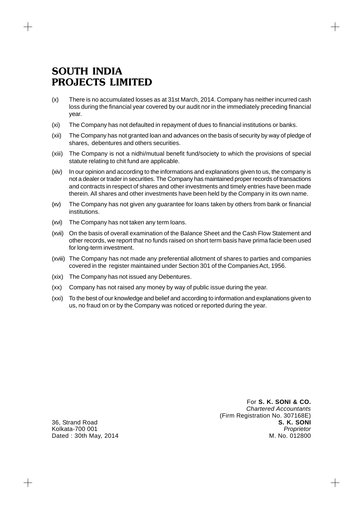- (x) There is no accumulated losses as at 31st March, 2014. Company has neither incurred cash loss during the financial year covered by our audit nor in the immediately preceding financial year.
- (xi) The Company has not defaulted in repayment of dues to financial institutions or banks.
- (xii) The Company has not granted loan and advances on the basis of security by way of pledge of shares, debentures and others securities.
- (xiii) The Company is not a nidhi/mutual benefit fund/society to which the provisions of special statute relating to chit fund are applicable.
- (xiv) In our opinion and according to the informations and explanations given to us, the company is not a dealer or trader in securities. The Company has maintained proper records of transactions and contracts in respect of shares and other investments and timely entries have been made therein. All shares and other investments have been held by the Company in its own name.
- (xv) The Company has not given any guarantee for loans taken by others from bank or financial institutions.
- (xvi) The Company has not taken any term loans.
- (xvii) On the basis of overall examination of the Balance Sheet and the Cash Flow Statement and other records, we report that no funds raised on short term basis have prima facie been used for long-term investment.
- (xviii) The Company has not made any preferential allotment of shares to parties and companies covered in the register maintained under Section 301 of the Companies Act, 1956.
- (xix) The Company has not issued any Debentures.
- (xx) Company has not raised any money by way of public issue during the year.
- (xxi) To the best of our knowledge and belief and according to information and explanations given to us, no fraud on or by the Company was noticed or reported during the year.

For **S. K. SONI & CO.** *Chartered Accountants* (Firm Registration No. 307168E) 36, Strand Road **S. K. SONI** Kolkata-700 001 *Proprietor*

 $+$ 

Dated : 30th May, 2014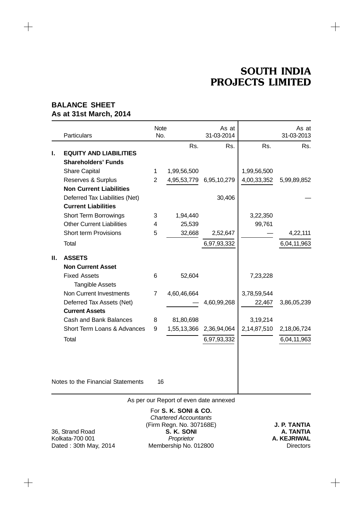$+$ 

# **BALANCE SHEET As at 31st March, 2014**

 $\qquad \qquad +$ 

|    | Particulars                                        | <b>Note</b><br>No. |             | As at<br>31-03-2014 |             | As at<br>31-03-2013 |
|----|----------------------------------------------------|--------------------|-------------|---------------------|-------------|---------------------|
|    |                                                    |                    | Rs.         | Rs.                 | Rs.         | Rs.                 |
| I. | <b>EQUITY AND LIABILITIES</b>                      |                    |             |                     |             |                     |
|    | <b>Shareholders' Funds</b>                         |                    |             |                     |             |                     |
|    | <b>Share Capital</b>                               | 1                  | 1,99,56,500 |                     | 1,99,56,500 |                     |
|    | Reserves & Surplus                                 | $\overline{2}$     | 4,95,53,779 | 6,95,10,279         | 4,00,33,352 | 5,99,89,852         |
|    | <b>Non Current Liabilities</b>                     |                    |             |                     |             |                     |
|    | Deferred Tax Liabilities (Net)                     |                    |             | 30,406              |             |                     |
|    | <b>Current Liabilities</b>                         |                    |             |                     |             |                     |
|    | <b>Short Term Borrowings</b>                       | 3                  | 1,94,440    |                     | 3,22,350    |                     |
|    | <b>Other Current Liabilities</b>                   | 4                  | 25,539      |                     | 99,761      |                     |
|    | <b>Short term Provisions</b>                       | 5                  | 32,668      | 2,52,647            |             | 4,22,111            |
|    | Total                                              |                    |             | 6,97,93,332         |             | 6,04,11,963         |
| Ш. | <b>ASSETS</b>                                      |                    |             |                     |             |                     |
|    | <b>Non Current Asset</b>                           |                    |             |                     |             |                     |
|    | <b>Fixed Assets</b>                                | 6                  | 52,604      |                     | 7,23,228    |                     |
|    | <b>Tangible Assets</b><br>Non Current Investments  |                    |             |                     |             |                     |
|    |                                                    | 7                  | 4,60,46,664 |                     | 3,78,59,544 |                     |
|    | Deferred Tax Assets (Net)<br><b>Current Assets</b> |                    |             | 4,60,99,268         | 22,467      | 3,86,05,239         |
|    |                                                    |                    |             |                     |             |                     |
|    | <b>Cash and Bank Balances</b>                      | 8                  | 81,80,698   |                     | 3,19,214    |                     |
|    | Short Term Loans & Advances                        | 9                  | 1,55,13,366 | 2,36,94,064         | 2,14,87,510 | 2,18,06,724         |
|    | Total                                              |                    |             | 6,97,93,332         |             | 6,04,11,963         |
|    |                                                    |                    |             |                     |             |                     |
|    | Notes to the Financial Statements                  | 16                 |             |                     |             |                     |

As per our Report of even date annexed

 $\qquad \qquad +$ 

For **S. K. SONI & CO.** *Chartered Accountants* (Firm Regn. No. 307168E) **J. P. TANTIA** 36, Strand Road **S. K. SONI**<br>
Kolkata-700 001 **A. KEJRIWAL** Kolkata-700 001 **A. KEJRIWAL**<br>Dated : 30th May, 2014 *Proprietor* **COLLET A. KEJRIWAL** Membership No. 012800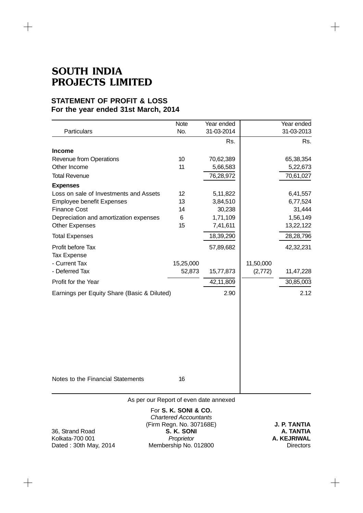$+$ 

# **STATEMENT OF PROFIT & LOSS For the year ended 31st March, 2014**

|                                             | <b>Note</b>          | Year ended        |           | Year ended        |
|---------------------------------------------|----------------------|-------------------|-----------|-------------------|
| Particulars                                 | No.                  | 31-03-2014<br>Rs. |           | 31-03-2013<br>Rs. |
| <b>Income</b>                               |                      |                   |           |                   |
| <b>Revenue from Operations</b>              | 10                   | 70,62,389         |           | 65,38,354         |
| Other Income                                | 11                   | 5,66,583          |           | 5,22,673          |
| <b>Total Revenue</b>                        |                      | 76,28,972         |           | 70,61,027         |
| <b>Expenses</b>                             |                      |                   |           |                   |
| Loss on sale of Investments and Assets      | 12 <sup>2</sup>      | 5,11,822          |           | 6,41,557          |
| <b>Employee benefit Expenses</b>            | 13                   | 3,84,510          |           | 6,77,524          |
| <b>Finance Cost</b>                         | 14                   | 30,238            |           | 31,444            |
| Depreciation and amortization expenses      | 6                    | 1,71,109          |           | 1,56,149          |
| <b>Other Expenses</b>                       | 15                   | 7,41,611          |           | 13,22,122         |
| <b>Total Expenses</b>                       |                      | 18,39,290         |           | 28,28,796         |
| Profit before Tax<br>Tax Expense            |                      | 57,89,682         |           | 42,32,231         |
| - Current Tax                               | 15,25,000            |                   | 11,50,000 |                   |
| - Deferred Tax                              | 52,873               | 15,77,873         | (2,772)   | 11,47,228         |
| Profit for the Year                         |                      | 42,11,809         |           | 30,85,003         |
| Earnings per Equity Share (Basic & Diluted) |                      | 2.90              |           | 2.12              |
|                                             |                      |                   |           |                   |
| Notes to the Financial Statements           | 16                   |                   |           |                   |
| As per our Report of even date annexed      |                      |                   |           |                   |
|                                             | For S. K. SONI & CO. |                   |           |                   |

 $+$ 

*Chartered Accountants* (Firm Regn. No. 307168E) **J. P. TANTIA** 36, Strand Road **S. K. SONI A. TANTIA** Kolkata-700 001 **A. KEJRIWAL**<br>Dated : 30th May, 2014 *Proprietor* **COLL A. KEJRIWAL**<br>Directors **COLL A. A. KEJRIWAL** Membership No. 012800

 $+$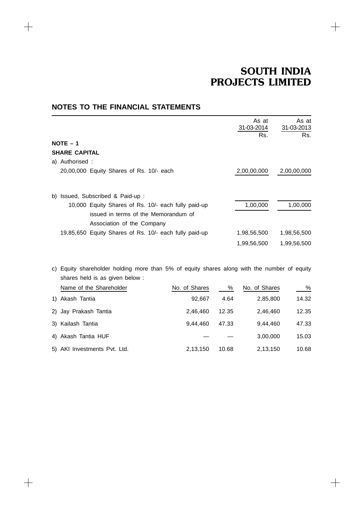$+$ 

 $+$ 

|                                                                                                                           | As at<br>31-03-2014 | As at<br>31-03-2013 |
|---------------------------------------------------------------------------------------------------------------------------|---------------------|---------------------|
|                                                                                                                           | Rs.                 | Rs.                 |
| $NOTE - 1$                                                                                                                |                     |                     |
| <b>SHARE CAPITAL</b>                                                                                                      |                     |                     |
| a) Authorised :                                                                                                           |                     |                     |
| 20,00,000 Equity Shares of Rs. 10/- each                                                                                  | 2,00,00,000         | 2,00,00,000         |
| b) Issued, Subscribed & Paid-up:                                                                                          |                     |                     |
| 10,000 Equity Shares of Rs. 10/- each fully paid-up<br>issued in terms of the Memorandum of<br>Association of the Company | 1,00,000            | 1,00,000            |
| 19,85,650 Equity Shares of Rs. 10/- each fully paid-up                                                                    | 1,98,56,500         | 1,98,56,500         |
|                                                                                                                           | 1,99,56,500         | 1,99,56,500         |

# **NOTES TO THE FINANCIAL STATEMENTS**

 $+$ 

 $+$ 

c) Equity shareholder holding more than 5% of equity shares along with the number of equity shares held is as given below :

| Name of the Shareholder      | No. of Shares | %     | No. of Shares | %     |
|------------------------------|---------------|-------|---------------|-------|
| 1) Akash Tantia              | 92.667        | 4.64  | 2,85,800      | 14.32 |
| 2) Jay Prakash Tantia        | 2.46.460      | 12.35 | 2.46.460      | 12.35 |
| 3) Kailash Tantia            | 9.44.460      | 47.33 | 9.44.460      | 47.33 |
| 4) Akash Tantia HUF          |               |       | 3,00,000      | 15.03 |
| 5) AKI Investments Pvt. Ltd. | 2,13,150      | 10.68 | 2,13,150      | 10.68 |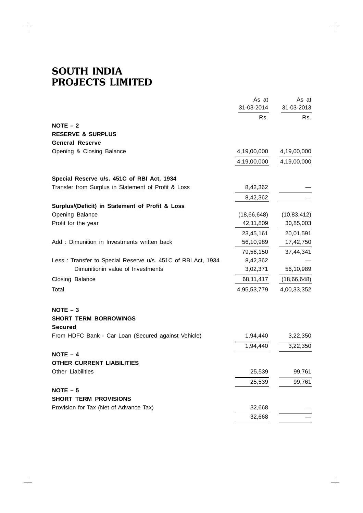$\overline{+}$ 

 $\!+\!$ 

|                                                              | As at       | As at         |
|--------------------------------------------------------------|-------------|---------------|
|                                                              | 31-03-2014  | 31-03-2013    |
| $NOTE - 2$                                                   | Rs.         | Rs.           |
| <b>RESERVE &amp; SURPLUS</b>                                 |             |               |
| <b>General Reserve</b>                                       |             |               |
| Opening & Closing Balance                                    | 4,19,00,000 | 4,19,00,000   |
|                                                              | 4,19,00,000 | 4,19,00,000   |
| Special Reserve u/s. 451C of RBI Act, 1934                   |             |               |
| Transfer from Surplus in Statement of Profit & Loss          | 8,42,362    |               |
|                                                              | 8,42,362    |               |
| Surplus/(Deficit) in Statement of Profit & Loss              |             |               |
| Opening Balance                                              | (18,66,648) | (10, 83, 412) |
| Profit for the year                                          | 42,11,809   | 30,85,003     |
|                                                              | 23,45,161   | 20,01,591     |
| Add: Dimunition in Investments written back                  | 56,10,989   | 17,42,750     |
|                                                              | 79,56,150   | 37,44,341     |
| Less: Transfer to Special Reserve u/s. 451C of RBI Act, 1934 | 8,42,362    |               |
| Dimunitionin value of Investments                            | 3,02,371    | 56,10,989     |
| Closing Balance                                              | 68,11,417   | (18,66,648)   |
| Total                                                        | 4,95,53,779 | 4,00,33,352   |
| $NOTE - 3$                                                   |             |               |
| <b>SHORT TERM BORROWINGS</b>                                 |             |               |
| <b>Secured</b>                                               |             |               |
| From HDFC Bank - Car Loan (Secured against Vehicle)          | 1,94,440    | 3,22,350      |
|                                                              | 1,94,440    | 3,22,350      |
| $NOTE - 4$                                                   |             |               |
| <b>OTHER CURRENT LIABILITIES</b>                             |             |               |
| Other Liabilities                                            | 25,539      | 99,761        |
|                                                              | 25,539      | 99,761        |
| $NOTE - 5$                                                   |             |               |
| <b>SHORT TERM PROVISIONS</b>                                 |             |               |
| Provision for Tax (Net of Advance Tax)                       | 32,668      |               |
|                                                              | 32,668      |               |

 $\boldsymbol{+}$ 

 $\! +$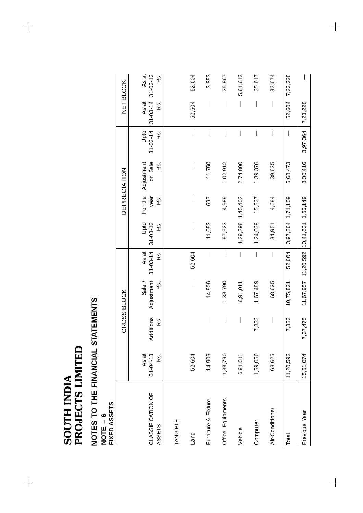SOUTH INDIA<br>PROJECTS LIMITED PROJECTS LIMITED SOUTH INDIA

 $\begin{array}{c} + \end{array}$ 

 $\begin{array}{c} + \end{array}$ 

# **NOTES TO THE FINANCIAL STATEMENTS<br>NOTE – 6<br>FIXED ASSETS NOTES TO THE FINANCIAL STATEMENTS**

**NOTE – 6**

| FIXED ASSETS                |                                |                          |                             |                                        |                               |                        |                              |                               |                                               |              |
|-----------------------------|--------------------------------|--------------------------|-----------------------------|----------------------------------------|-------------------------------|------------------------|------------------------------|-------------------------------|-----------------------------------------------|--------------|
|                             |                                |                          | GROSS BLOCK                 |                                        |                               |                        | DEPRECIATION                 |                               |                                               | NET BLOCK    |
| CLASSIFICATION OF<br>ASSETS | $01 - 04 - 13$<br>As at<br>Rs. | Additions<br>R S.        | Adjustment<br>Rs.<br>Sale / | $31 - 03 - 14$<br>As at<br>Rs.         | Upto<br>$31 - 03 - 13$<br>Rs. | For the<br>year<br>Rs. | on Sale<br>Adjustment<br>RS. | $31 - 03 - 14$<br>Opto<br>Rs. | $31 - 03 - 14$ $31 - 03 - 13$<br>As at<br>Rs. | As at<br>Rs. |
| TANGIBLE                    |                                |                          |                             |                                        |                               |                        |                              |                               |                                               |              |
| Land                        | 52,604                         | I                        | I                           | 52,604                                 | I                             | I                      | I                            | I                             | 52,604                                        | 52,604       |
| Furniture & Fixture         | 14,906                         | I                        | 14,906                      | I                                      | 11,053                        | 697                    | 11,750                       |                               | I                                             | 3,853        |
| Office Equipments           | 1,33,790                       | $\bigg $                 | 1,33,790                    |                                        | 97,923                        | 4,989                  | 1,02,912                     |                               | $\overline{\phantom{a}}$                      | 35,867       |
| Vehicle                     | 6,91,011                       | $\vert$                  | 6,91,011                    | $\bigg $                               |                               | 1,29,398 1,45,402      | 2,74,800                     |                               | $\overline{\phantom{a}}$                      | 5,61,613     |
| Computer                    | 1,59,656                       | 7,833                    | 1,67,489                    | $\begin{array}{c} \hline \end{array}$  | 1,24,039                      | 15,337                 | 1,39,376                     | $\overline{\phantom{a}}$      | $\overline{\phantom{a}}$                      | 35,617       |
| Air-Conditioner             | 68,625                         | $\overline{\phantom{a}}$ | 68,625                      |                                        | 34,951                        | 4,684                  | 39,635                       |                               | $\overline{\phantom{a}}$                      | 33,674       |
| Total                       | 11,20,592                      | 7,833                    | 10,75,821                   | 52,604                                 | 3,97,364 1,71,109             |                        | 5,68,473                     | $\overline{\phantom{a}}$      | 52,604                                        | 7,23,228     |
| Previous Year               | 15,51,074                      | 7,37,475                 |                             | 11,67,957 11,20,592 10,41,631 1,56,149 |                               |                        | 8,00,416                     | 3,97,364                      | 7,23,228                                      |              |

 $\begin{array}{c} + \end{array}$ 

 $\begin{array}{c} + \end{array}$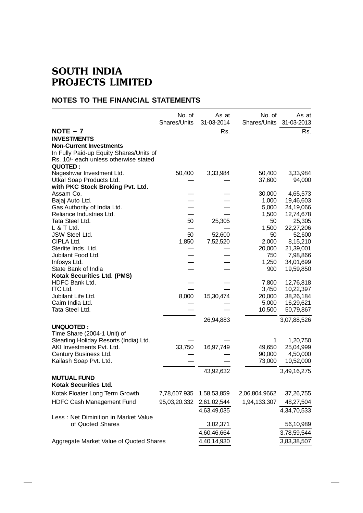$+$ 

# **NOTES TO THE FINANCIAL STATEMENTS**

|                                                              | No. of<br>Shares/Units   | As at<br>31-03-2014 | No. of<br>Shares/Units | As at<br>31-03-2013    |
|--------------------------------------------------------------|--------------------------|---------------------|------------------------|------------------------|
| $NOTE - 7$                                                   |                          | Rs.                 |                        | Rs.                    |
| <b>INVESTMENTS</b>                                           |                          |                     |                        |                        |
| <b>Non-Current Investments</b>                               |                          |                     |                        |                        |
| In Fully Paid-up Equity Shares/Units of                      |                          |                     |                        |                        |
| Rs. 10/- each unless otherwise stated                        |                          |                     |                        |                        |
| <b>QUOTED:</b>                                               |                          |                     |                        |                        |
| Nageshwar Investment Ltd.                                    | 50,400                   | 3,33,984            | 50,400                 | 3,33,984               |
| Utkal Soap Products Ltd.<br>with PKC Stock Broking Pvt. Ltd. |                          |                     | 37,600                 | 94,000                 |
| Assam Co.                                                    |                          |                     | 30,000                 | 4,65,573               |
| Bajaj Auto Ltd.                                              |                          |                     | 1,000                  | 19,46,603              |
| Gas Authority of India Ltd.                                  |                          |                     | 5,000                  | 24,19,066              |
| Reliance Industries Ltd.                                     |                          |                     | 1,500                  | 12,74,678              |
| Tata Steel Ltd.                                              | 50                       | 25,305              | 50                     | 25,305                 |
| L & T Ltd.                                                   |                          |                     | 1,500                  | 22,27,206              |
| JSW Steel Ltd.<br>CIPLA Ltd.                                 | 50<br>1,850              | 52,600<br>7,52,520  | 50<br>2,000            | 52,600<br>8,15,210     |
| Sterlite Inds. Ltd.                                          |                          |                     | 20,000                 | 21,39,001              |
| Jubilant Food Ltd.                                           |                          |                     | 750                    | 7,98,866               |
| Infosys Ltd.                                                 |                          |                     | 1,250                  | 34,01,699              |
| State Bank of India                                          |                          |                     | 900                    | 19,59,850              |
| <b>Kotak Securities Ltd. (PMS)</b>                           |                          |                     |                        |                        |
| HDFC Bank Ltd.<br><b>ITC Ltd.</b>                            |                          |                     | 7,800                  | 12,76,818              |
| Jubilant Life Ltd.                                           | 8,000                    | 15,30,474           | 3,450<br>20,000        | 10,22,397<br>38,26,184 |
| Cairn India Ltd.                                             |                          |                     | 5,000                  | 16,29,621              |
| Tata Steel Ltd.                                              |                          |                     | 10,500                 | 50,79,867              |
|                                                              |                          | 26,94,883           |                        | 3,07,88,526            |
| <b>UNQUOTED:</b>                                             |                          |                     |                        |                        |
| Time Share (2004-1 Unit) of                                  |                          |                     |                        |                        |
| Stearling Holiday Resorts (India) Ltd.                       |                          |                     | 1                      | 1,20,750               |
| AKI Investments Pvt. Ltd.                                    | 33,750                   | 16,97,749           | 49,650                 | 25,04,999              |
| Century Business Ltd.                                        |                          |                     | 90,000                 | 4,50,000               |
| Kailash Soap Pvt. Ltd.                                       |                          |                     | 73,000                 | 10,52,000              |
|                                                              |                          | 43,92,632           |                        | 3,49,16,275            |
| <b>MUTUAL FUND</b><br><b>Kotak Securities Ltd.</b>           |                          |                     |                        |                        |
| Kotak Floater Long Term Growth                               | 7,78,607.935 1,58,53,859 |                     | 2,06,804.9662          | 37,26,755              |
| HDFC Cash Management Fund                                    | 95,03,20.332             | 2,61,02,544         | 1,94,133.307           | 48,27,504              |
|                                                              |                          | 4,63,49,035         |                        | 4,34,70,533            |
| Less: Net Diminition in Market Value                         |                          |                     |                        |                        |
| of Quoted Shares                                             |                          | 3,02,371            |                        | 56,10,989              |
|                                                              |                          | 4,60,46,664         |                        | 3,78,59,544            |
| Aggregate Market Value of Quoted Shares                      |                          | 4,40,14,930         |                        | 3,83,38,507            |

 $\! +$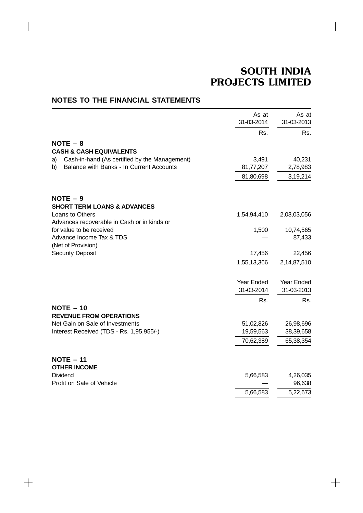$\! +$ 

|                                                     | As at             | As at       |
|-----------------------------------------------------|-------------------|-------------|
|                                                     | 31-03-2014        | 31-03-2013  |
|                                                     | Rs.               | Rs.         |
| $NOTE - 8$                                          |                   |             |
| <b>CASH &amp; CASH EQUIVALENTS</b>                  |                   |             |
| Cash-in-hand (As certified by the Management)<br>a) | 3,491             | 40,231      |
| Balance with Banks - In Current Accounts<br>b)      | 81,77,207         | 2,78,983    |
|                                                     | 81,80,698         | 3,19,214    |
| $NOTE - 9$                                          |                   |             |
| <b>SHORT TERM LOANS &amp; ADVANCES</b>              |                   |             |
| Loans to Others                                     | 1,54,94,410       | 2,03,03,056 |
| Advances recoverable in Cash or in kinds or         |                   |             |
| for value to be received                            | 1,500             | 10,74,565   |
| Advance Income Tax & TDS                            |                   | 87,433      |
| (Net of Provision)                                  |                   |             |
| <b>Security Deposit</b>                             | 17,456            | 22,456      |
|                                                     | 1,55,13,366       | 2,14,87,510 |
|                                                     | <b>Year Ended</b> | Year Ended  |
|                                                     | 31-03-2014        | 31-03-2013  |
|                                                     | Rs.               | Rs.         |
| $NOTE - 10$<br><b>REVENUE FROM OPERATIONS</b>       |                   |             |
| Net Gain on Sale of Investments                     | 51,02,826         | 26,98,696   |
| Interest Received (TDS - Rs. 1,95,955/-)            | 19,59,563         | 38,39,658   |
|                                                     | 70,62,389         | 65,38,354   |
| $NOTE - 11$                                         |                   |             |
| <b>OTHER INCOME</b>                                 |                   |             |
| Dividend                                            | 5,66,583          | 4,26,035    |
| Profit on Sale of Vehicle                           |                   | 96,638      |
|                                                     | 5,66,583          | 5,22,673    |

# **NOTES TO THE FINANCIAL STATEMENTS**

 $\begin{tabular}{c} \top \end{tabular}$ 

 $\!+\!$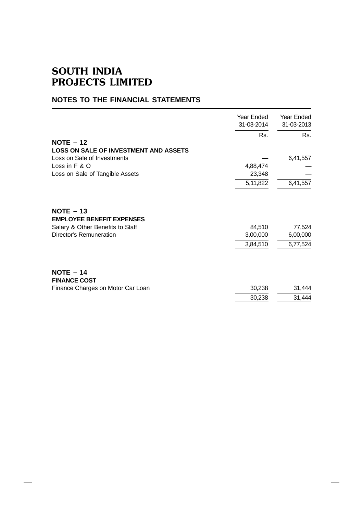$\begin{array}{c} + \end{array}$ 

 $+$ 

# **NOTES TO THE FINANCIAL STATEMENTS**

|                                                 | Year Ended<br>31-03-2014 | Year Ended<br>31-03-2013 |
|-------------------------------------------------|--------------------------|--------------------------|
| $NOTE - 12$                                     | Rs.                      | Rs.                      |
| <b>LOSS ON SALE OF INVESTMENT AND ASSETS</b>    |                          |                          |
| Loss on Sale of Investments                     |                          | 6,41,557                 |
| Loss in F & O                                   | 4,88,474                 |                          |
| Loss on Sale of Tangible Assets                 | 23,348                   |                          |
|                                                 | 5, 11, 822               | 6,41,557                 |
| $NOTE - 13$<br><b>EMPLOYEE BENEFIT EXPENSES</b> |                          |                          |
| Salary & Other Benefits to Staff                | 84,510                   | 77,524                   |
| Director's Remuneration                         | 3,00,000                 | 6,00,000                 |
|                                                 | 3,84,510                 | 6,77,524                 |
| $NOTE - 14$<br><b>FINANCE COST</b>              |                          |                          |
| Finance Charges on Motor Car Loan               | 30,238                   | 31,444                   |
|                                                 | 30,238                   | 31,444                   |
|                                                 |                          |                          |

 $\! +$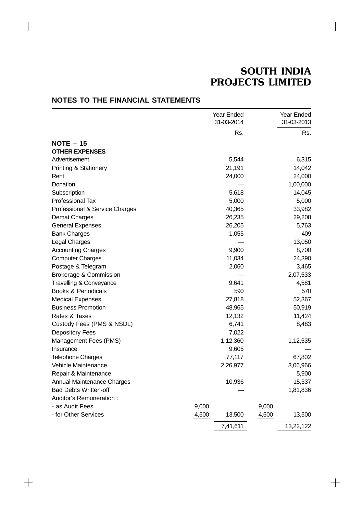$\! +$ 

|                                    |       | Year Ended<br>31-03-2014 |       | Year Ended<br>31-03-2013 |
|------------------------------------|-------|--------------------------|-------|--------------------------|
|                                    |       | Rs.                      |       | Rs.                      |
| $NOTE - 15$                        |       |                          |       |                          |
| <b>OTHER EXPENSES</b>              |       |                          |       |                          |
| Advertisement                      |       | 5,544                    |       | 6,315                    |
| Printing & Stationery              |       | 21,191                   |       | 14,042                   |
| Rent                               |       | 24,000                   |       | 24,000                   |
| Donation                           |       |                          |       | 1,00,000                 |
| Subscription                       |       | 5,618                    |       | 14,045                   |
| Professional Tax                   |       | 5,000                    |       | 5,000                    |
| Professional & Service Charges     |       | 40,365                   |       | 33,982                   |
| <b>Demat Charges</b>               |       | 26,235                   |       | 29,208                   |
| <b>General Expenses</b>            |       | 26,205                   |       | 5,763                    |
| <b>Bank Charges</b>                |       | 1,055                    |       | 409                      |
| Legal Charges                      |       |                          |       | 13,050                   |
| <b>Accounting Charges</b>          |       | 9,900                    |       | 8,700                    |
| <b>Computer Charges</b>            |       | 11,034                   |       | 24,390                   |
| Postage & Telegram                 |       | 2,060                    |       | 3,465                    |
| <b>Brokerage &amp; Commission</b>  |       |                          |       | 2,07,533                 |
| <b>Travelling &amp; Conveyance</b> |       | 9,641                    |       | 4,581                    |
| <b>Books &amp; Periodicals</b>     |       | 590                      |       | 570                      |
| <b>Medical Expenses</b>            |       | 27,818                   |       | 52,367                   |
| <b>Business Promotion</b>          |       | 48,965                   |       | 50,919                   |
| Rates & Taxes                      |       | 12,132                   |       | 11,424                   |
| Custody Fees (PMS & NSDL)          |       | 6,741                    |       | 8,483                    |
| <b>Depository Fees</b>             |       | 7,022                    |       |                          |
| Management Fees (PMS)              |       | 1,12,360                 |       | 1,12,535                 |
| Insurance                          |       | 9,605                    |       |                          |
| <b>Telephone Charges</b>           |       | 77,117                   |       | 67,802                   |
| Vehicle Maintenance                |       | 2,26,977                 |       | 3,06,966                 |
| Repair & Maintenance               |       |                          |       | 5,900                    |
| Annual Maintenance Charges         |       | 10,936                   |       | 15,337                   |
| <b>Bad Debts Written-off</b>       |       |                          |       | 1,81,836                 |
| Auditor's Remuneration:            |       |                          |       |                          |
| - as Audit Fees                    | 9,000 |                          | 9,000 |                          |
| - for Other Services               | 4,500 | 13,500                   | 4,500 | 13,500                   |
|                                    |       | 7,41,611                 |       | 13,22,122                |

# **NOTES TO THE FINANCIAL STATEMENTS**

 $\begin{tabular}{c} \top \end{tabular}$ 

 $\!+\!$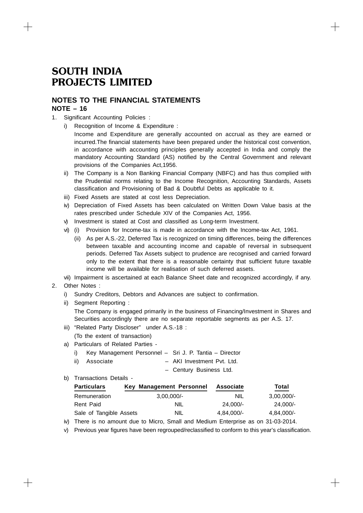# **NOTES TO THE FINANCIAL STATEMENTS NOTE – 16**

- 1. Significant Accounting Policies :
	- i) Recognition of Income & Expenditure :
		- Income and Expenditure are generally accounted on accrual as they are earned or incurred.The financial statements have been prepared under the historical cost convention, in accordance with accounting principles generally accepted in India and comply the mandatory Accounting Standard (AS) notified by the Central Government and relevant provisions of the Companies Act,1956.
	- ii) The Company is a Non Banking Financial Company (NBFC) and has thus complied with the Prudential norms relating to the Income Recognition, Accounting Standards, Assets classification and Provisioning of Bad & Doubtful Debts as applicable to it.
	- iii) Fixed Assets are stated at cost less Depreciation.
	- iv) Depreciation of Fixed Assets has been calculated on Written Down Value basis at the rates prescribed under Schedule XIV of the Companies Act, 1956.
	- v) Investment is stated at Cost and classified as Long-term Investment.
	- vi) (i) Provision for Income-tax is made in accordance with the Income-tax Act, 1961.
		- (ii) As per A.S.-22, Deferred Tax is recognized on timing differences, being the differences between taxable and accounting income and capable of reversal in subsequent periods. Deferred Tax Assets subject to prudence are recognised and carried forward only to the extent that there is a reasonable certainty that sufficient future taxable income will be available for realisation of such deferred assets.

vii) Impairment is ascertained at each Balance Sheet date and recognized accordingly, if any.

- 2. Other Notes :
	- i) Sundry Creditors, Debtors and Advances are subject to confirmation.
	- ii) Segment Reporting :

The Company is engaged primarily in the business of Financing/Investment in Shares and Securities accordingly there are no separate reportable segments as per A.S. 17.

iii) "Related Party Discloser" under A.S.-18 :

(To the extent of transaction)

- a) Particulars of Related Parties
	- i) Key Management Personnel Sri J. P. Tantia Director
	- ii) Associate AKI Investment Pvt. Ltd.

– Century Business Ltd.

b) Transactions Details -

| <b>Particulars</b>      | Key Management Personnel | <b>Associate</b> | Total        |
|-------------------------|--------------------------|------------------|--------------|
| Remuneration            | $3.00.000/-$             | <b>NIL</b>       | $3.00.000/-$ |
| Rent Paid               | NIL                      | 24.000/-         | 24.000/-     |
| Sale of Tangible Assets | NIL                      | $4.84.000/-$     | 4,84,000/-   |

iv) There is no amount due to Micro, Small and Medium Enterprise as on 31-03-2014.

v) Previous year figures have been regrouped/reclassified to conform to this year's classification.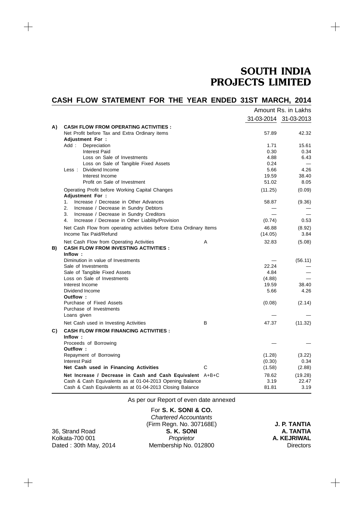$+$ 

# **CASH FLOW STATEMENT FOR THE YEAR ENDED 31ST MARCH, 2014** Amount Rs. in Lakhs

|    |                                                                                        |   |         | 31-03-2014 31-03-2013 |
|----|----------------------------------------------------------------------------------------|---|---------|-----------------------|
| A) | <b>CASH FLOW FROM OPERATING ACTIVITIES :</b>                                           |   |         |                       |
|    | Net Profit before Tax and Extra Ordinary items                                         |   | 57.89   | 42.32                 |
|    | <b>Adjustment For:</b>                                                                 |   |         |                       |
|    | Add :<br>Depreciation                                                                  |   | 1.71    | 15.61                 |
|    | <b>Interest Paid</b>                                                                   |   | 0.30    | 0.34                  |
|    | Loss on Sale of Investments                                                            |   | 4.88    | 6.43                  |
|    | Loss on Sale of Tangible Fixed Assets                                                  |   | 0.24    |                       |
|    | Less: Dividend Income                                                                  |   | 5.66    | 4.26                  |
|    | Interest Income                                                                        |   | 19.59   | 38.40                 |
|    | Profit on Sale of Investment                                                           |   | 51.02   | 8.05                  |
|    | Operating Profit before Working Capital Changes<br><b>Adjustment For:</b>              |   | (11.25) | (0.09)                |
|    | 1.<br>Increase / Decrease in Other Advances                                            |   | 58.87   | (9.36)                |
|    | 2.<br>Increase / Decrease in Sundry Debtors                                            |   |         |                       |
|    | Increase / Decrease in Sundry Creditors<br>3.                                          |   |         |                       |
|    | Increase / Decrease in Other Liability/Provision<br>4.                                 |   | (0.74)  | 0.53                  |
|    | Net Cash Flow from operating activities before Extra Ordinary Items                    |   | 46.88   | (8.92)                |
|    | Income Tax Paid/Refund                                                                 |   | (14.05) | 3.84                  |
| B) | Net Cash Flow from Operating Activities<br><b>CASH FLOW FROM INVESTING ACTIVITIES:</b> | A | 32.83   | (5.08)                |
|    | Inflow:                                                                                |   |         |                       |
|    | Diminution in value of Investments                                                     |   |         | (56.11)               |
|    | Sale of Investments                                                                    |   | 22.24   |                       |
|    | Sale of Tangible Fixed Assets                                                          |   | 4.84    |                       |
|    | Loss on Sale of Investments                                                            |   | (4.88)  |                       |
|    | Interest Income                                                                        |   | 19.59   | 38.40                 |
|    | Dividend Income                                                                        |   | 5.66    | 4.26                  |
|    | Outflow:                                                                               |   |         |                       |
|    | Purchase of Fixed Assets                                                               |   | (0.08)  | (2.14)                |
|    | Purchase of Investments                                                                |   |         |                       |
|    | Loans given                                                                            |   |         |                       |
|    | Net Cash used in Investing Activities                                                  | B | 47.37   | (11.32)               |
| C) | <b>CASH FLOW FROM FINANCING ACTIVITIES :</b>                                           |   |         |                       |
|    | Inflow:                                                                                |   |         |                       |
|    | Proceeds of Borrowing                                                                  |   |         |                       |
|    | Outflow:                                                                               |   |         |                       |
|    | Repayment of Borrowing                                                                 |   | (1.28)  | (3.22)                |
|    | <b>Interest Paid</b>                                                                   |   | (0.30)  | 0.34                  |
|    | Net Cash used in Financing Activities                                                  | C | (1.58)  | (2.88)                |
|    | Net Increase / Decrease in Cash and Cash Equivalent A+B+C                              |   | 78.62   | (19.28)               |
|    | Cash & Cash Equivalents as at 01-04-2013 Opening Balance                               |   | 3.19    | 22.47                 |
|    | Cash & Cash Equivalents as at 01-04-2013 Closing Balance                               |   | 81.81   | 3.19                  |
|    |                                                                                        |   |         |                       |

As per our Report of even date annexed For **S. K. SONI & CO.**

| 36, Strand Road       |
|-----------------------|
| Kolkata-700 001       |
| Dated: 30th May, 2014 |

 $+$ 

 $\qquad \qquad +$ 

*Chartered Accountants* (Firm Regn. No. 307168E) **J. P. TANTIA S. K. SONI**<br>*Proprietor* Membership No. 012800

**A. KEJRIWAL**<br>Directors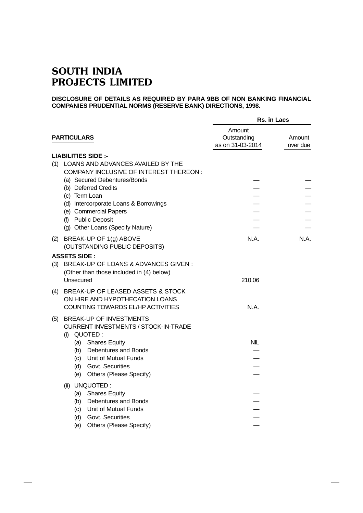$+$ 

 $+$ 

### **DISCLOSURE OF DETAILS AS REQUIRED BY PARA 9BB OF NON BANKING FINANCIAL COMPANIES PRUDENTIAL NORMS (RESERVE BANK) DIRECTIONS, 1998.**

 $+$ 

|                                                                | Rs. in Lacs                               |                    |
|----------------------------------------------------------------|-------------------------------------------|--------------------|
| <b>PARTICULARS</b>                                             | Amount<br>Outstanding<br>as on 31-03-2014 | Amount<br>over due |
| <b>LIABILITIES SIDE :-</b>                                     |                                           |                    |
| LOANS AND ADVANCES AVAILED BY THE<br>(1)                       |                                           |                    |
| <b>COMPANY INCLUSIVE OF INTEREST THEREON:</b>                  |                                           |                    |
| (a) Secured Debentures/Bonds                                   |                                           |                    |
| (b) Deferred Credits                                           |                                           |                    |
| (c) Term Loan                                                  |                                           |                    |
| (d) Intercorporate Loans & Borrowings                          |                                           |                    |
| (e) Commercial Papers                                          |                                           |                    |
| (f) Public Deposit                                             |                                           |                    |
| (g) Other Loans (Specify Nature)                               |                                           |                    |
| BREAK-UP OF 1(g) ABOVE<br>(2)<br>(OUTSTANDING PUBLIC DEPOSITS) | N.A.                                      | N.A.               |
| <b>ASSETS SIDE:</b>                                            |                                           |                    |
| BREAK-UP OF LOANS & ADVANCES GIVEN :<br>(3)                    |                                           |                    |
| (Other than those included in (4) below)                       |                                           |                    |
| Unsecured                                                      | 210.06                                    |                    |
| BREAK-UP OF LEASED ASSETS & STOCK<br>(4)                       |                                           |                    |
| ON HIRE AND HYPOTHECATION LOANS                                |                                           |                    |
| COUNTING TOWARDS EL/HP ACTIVITIES                              | N.A.                                      |                    |
| <b>BREAK-UP OF INVESTMENTS</b>                                 |                                           |                    |
| (5)<br><b>CURRENT INVESTMENTS / STOCK-IN-TRADE</b>             |                                           |                    |
| QUOTED:<br>(i)                                                 |                                           |                    |
| <b>Shares Equity</b><br>(a)                                    | <b>NIL</b>                                |                    |
| (b) Debentures and Bonds                                       |                                           |                    |
| (c) Unit of Mutual Funds                                       |                                           |                    |
| (d) Govt. Securities                                           |                                           |                    |
| (e)<br>Others (Please Specify)                                 |                                           |                    |
| UNQUOTED:<br>(ii)                                              |                                           |                    |
| (a) Shares Equity                                              |                                           |                    |
| (b) Debentures and Bonds                                       |                                           |                    |
| Unit of Mutual Funds<br>(c)                                    |                                           |                    |
| Govt. Securities<br>(d)                                        |                                           |                    |
| Others (Please Specify)<br>(e)                                 |                                           |                    |